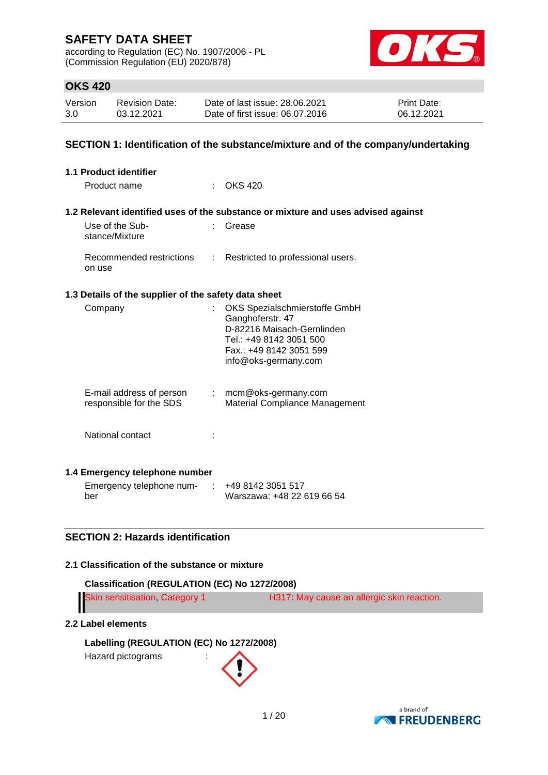according to Regulation (EC) No. 1907/2006 - PL (Commission Regulation (EU) 2020/878)



# **OKS 420**

| Version | <b>Revision Date:</b> | Date of last issue: 28.06.2021  | <b>Print Date:</b> |
|---------|-----------------------|---------------------------------|--------------------|
| 3.0     | 03.12.2021            | Date of first issue: 06.07.2016 | 06.12.2021         |

## **SECTION 1: Identification of the substance/mixture and of the company/undertaking**

| 1.1 Product identifier                                                    |                                                                                                                                                               |
|---------------------------------------------------------------------------|---------------------------------------------------------------------------------------------------------------------------------------------------------------|
| Product name                                                              | $\therefore$ OKS 420                                                                                                                                          |
|                                                                           | 1.2 Relevant identified uses of the substance or mixture and uses advised against                                                                             |
| Use of the Sub-<br>stance/Mixture                                         | Grease                                                                                                                                                        |
| Recommended restrictions : Restricted to professional users.<br>on use    |                                                                                                                                                               |
| 1.3 Details of the supplier of the safety data sheet                      |                                                                                                                                                               |
| Company                                                                   | OKS Spezialschmierstoffe GmbH<br>Ganghoferstr. 47<br>D-82216 Maisach-Gernlinden<br>Tel.: +49 8142 3051 500<br>Fax.: +49 8142 3051 599<br>info@oks-germany.com |
| E-mail address of person : mcm@oks-germany.com<br>responsible for the SDS | Material Compliance Management                                                                                                                                |
| National contact                                                          |                                                                                                                                                               |
| 1.4 Emergency telephone number                                            |                                                                                                                                                               |
| Emergency telephone num-<br>$\sim$                                        | +49 8142 3051 517                                                                                                                                             |

## **SECTION 2: Hazards identification**

# **2.1 Classification of the substance or mixture**

| Classification (REGULATION (EC) No 1272/2008)                                                                                                                                                                                       |                                                                                                                                                                                                                                  |
|-------------------------------------------------------------------------------------------------------------------------------------------------------------------------------------------------------------------------------------|----------------------------------------------------------------------------------------------------------------------------------------------------------------------------------------------------------------------------------|
| <b>ALCOHOL:</b> A REPORT OF A REPORT OF A REPORT OF A REPORT OF A REPORT OF A REPORT OF A REPORT OF A REPORT OF A REPORT OF A REPORT OF A REPORT OF A REPORT OF A REPORT OF A REPORT OF A REPORT OF A REPORT OF A REPORT OF A REPOR | $\frac{1}{2}$ . The set of the set of the set of the set of the set of the set of the set of the set of the set of the set of the set of the set of the set of the set of the set of the set of the set of the set of the set of |

| <b>Skin sensitisation, Category 1</b> | H317 May cause an allergic skin reaction. |
|---------------------------------------|-------------------------------------------|
| II                                    |                                           |

Warszawa: +48 22 619 66 54

# **2.2 Label elements**

ber

**Labelling (REGULATION (EC) No 1272/2008)**

Hazard pictograms :

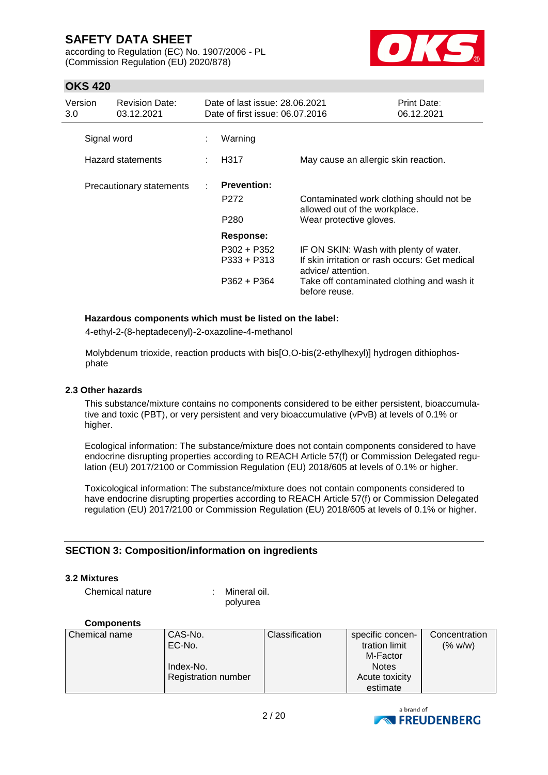according to Regulation (EC) No. 1907/2006 - PL (Commission Regulation (EU) 2020/878)



# **OKS 420**

| Version<br>3.0 | <b>Revision Date:</b><br>03.12.2021 | Date of last issue: 28.06.2021<br>Date of first issue: 06.07.2016 |                                                               |                                                                                                                                                                               | Print Date:<br>06.12.2021 |
|----------------|-------------------------------------|-------------------------------------------------------------------|---------------------------------------------------------------|-------------------------------------------------------------------------------------------------------------------------------------------------------------------------------|---------------------------|
| Signal word    |                                     | ÷                                                                 | Warning                                                       |                                                                                                                                                                               |                           |
|                | Hazard statements                   |                                                                   | H317                                                          | May cause an allergic skin reaction.                                                                                                                                          |                           |
|                | Precautionary statements            |                                                                   | <b>Prevention:</b><br>P272<br>P <sub>280</sub>                | Contaminated work clothing should not be<br>allowed out of the workplace.<br>Wear protective gloves.                                                                          |                           |
|                |                                     |                                                                   | <b>Response:</b><br>P302 + P352<br>P333 + P313<br>P362 + P364 | IF ON SKIN: Wash with plenty of water.<br>If skin irritation or rash occurs: Get medical<br>advice/ attention.<br>Take off contaminated clothing and wash it<br>before reuse. |                           |

### **Hazardous components which must be listed on the label:**

4-ethyl-2-(8-heptadecenyl)-2-oxazoline-4-methanol

Molybdenum trioxide, reaction products with bis[O,O-bis(2-ethylhexyl)] hydrogen dithiophosphate

#### **2.3 Other hazards**

This substance/mixture contains no components considered to be either persistent, bioaccumulative and toxic (PBT), or very persistent and very bioaccumulative (vPvB) at levels of 0.1% or higher.

Ecological information: The substance/mixture does not contain components considered to have endocrine disrupting properties according to REACH Article 57(f) or Commission Delegated regulation (EU) 2017/2100 or Commission Regulation (EU) 2018/605 at levels of 0.1% or higher.

Toxicological information: The substance/mixture does not contain components considered to have endocrine disrupting properties according to REACH Article 57(f) or Commission Delegated regulation (EU) 2017/2100 or Commission Regulation (EU) 2018/605 at levels of 0.1% or higher.

### **SECTION 3: Composition/information on ingredients**

#### **3.2 Mixtures**

Chemical nature : Mineral oil.

polyurea

#### **Components**

| Chemical name | CAS-No.                    | <b>Classification</b> | specific concen- | Concentration |
|---------------|----------------------------|-----------------------|------------------|---------------|
|               | EC-No.                     |                       | tration limit    | (% w/w)       |
|               |                            |                       | M-Factor         |               |
|               | Index-No.                  |                       | <b>Notes</b>     |               |
|               | <b>Registration number</b> |                       | Acute toxicity   |               |
|               |                            |                       | estimate         |               |

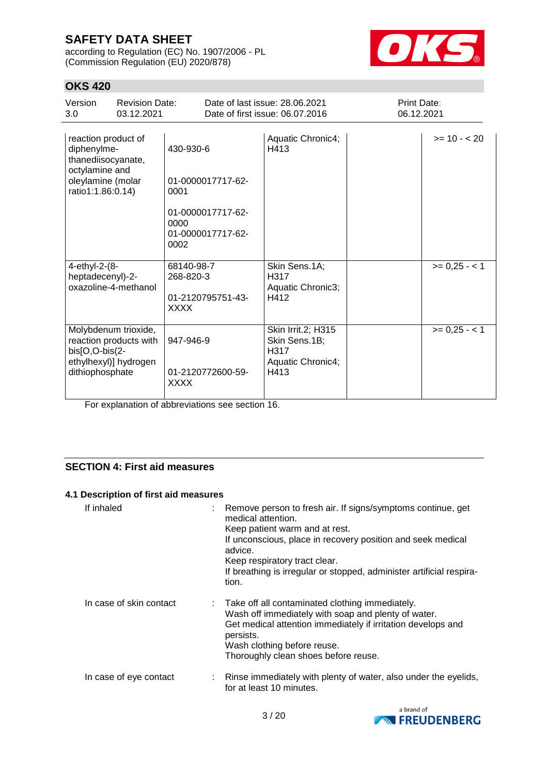according to Regulation (EC) No. 1907/2006 - PL (Commission Regulation (EU) 2020/878)



# **OKS 420**

| Version<br>3.0                                                                                                       | <b>Revision Date:</b><br>03.12.2021                                     |                                                                                                  | Date of last issue: 28.06.2021<br>Date of first issue: 06.07.2016        | Print Date:<br>06.12.2021 |               |
|----------------------------------------------------------------------------------------------------------------------|-------------------------------------------------------------------------|--------------------------------------------------------------------------------------------------|--------------------------------------------------------------------------|---------------------------|---------------|
| reaction product of<br>diphenylme-<br>thanediisocyanate,<br>octylamine and<br>oleylamine (molar<br>ratio1:1.86:0.14) |                                                                         | 430-930-6<br>01-0000017717-62-<br>0001<br>01-0000017717-62-<br>0000<br>01-0000017717-62-<br>0002 | Aquatic Chronic4;<br>H413                                                |                           | $>= 10 - 20$  |
| 4-ethyl-2-(8-<br>heptadecenyl)-2-                                                                                    | oxazoline-4-methanol                                                    | 68140-98-7<br>268-820-3<br>01-2120795751-43-<br><b>XXXX</b>                                      | Skin Sens.1A;<br>H <sub>317</sub><br>Aquatic Chronic3;<br>H412           |                           | $>= 0,25 - 1$ |
| $bis[O,O-bis(2-$<br>dithiophosphate                                                                                  | Molybdenum trioxide,<br>reaction products with<br>ethylhexyl)] hydrogen | 947-946-9<br>01-2120772600-59-<br><b>XXXX</b>                                                    | Skin Irrit.2; H315<br>Skin Sens.1B;<br>H317<br>Aquatic Chronic4;<br>H413 |                           | $>= 0,25 - 1$ |

For explanation of abbreviations see section 16.

## **SECTION 4: First aid measures**

### **4.1 Description of first aid measures**

| If inhaled              | : Remove person to fresh air. If signs/symptoms continue, get<br>medical attention.<br>Keep patient warm and at rest.<br>If unconscious, place in recovery position and seek medical<br>advice.<br>Keep respiratory tract clear.<br>If breathing is irregular or stopped, administer artificial respira-<br>tion. |
|-------------------------|-------------------------------------------------------------------------------------------------------------------------------------------------------------------------------------------------------------------------------------------------------------------------------------------------------------------|
| In case of skin contact | : Take off all contaminated clothing immediately.<br>Wash off immediately with soap and plenty of water.<br>Get medical attention immediately if irritation develops and<br>persists.<br>Wash clothing before reuse.<br>Thoroughly clean shoes before reuse.                                                      |
| In case of eye contact  | : Rinse immediately with plenty of water, also under the eyelids,<br>for at least 10 minutes.                                                                                                                                                                                                                     |

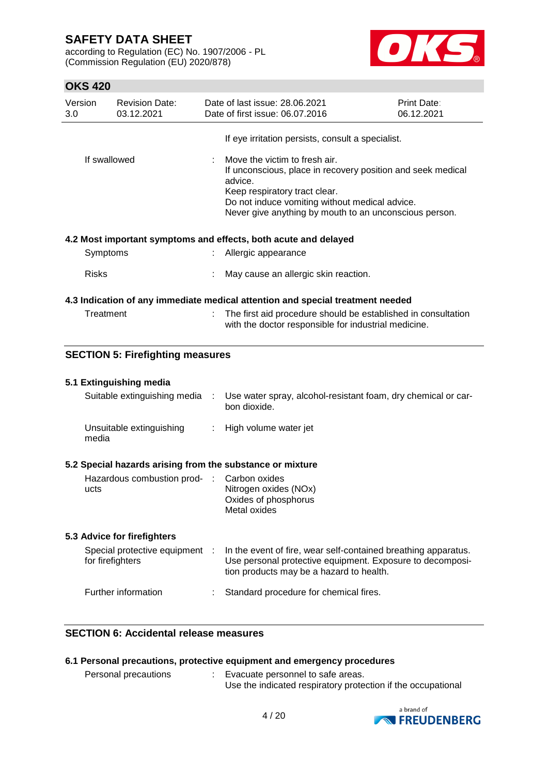according to Regulation (EC) No. 1907/2006 - PL (Commission Regulation (EU) 2020/878)



# **OKS 420**

| Version      |                              | <b>Revision Date:</b>                   |                                                                                                                                                                                                                                                      | Date of last issue: 28.06.2021                                                                                                                                          | Print Date: |
|--------------|------------------------------|-----------------------------------------|------------------------------------------------------------------------------------------------------------------------------------------------------------------------------------------------------------------------------------------------------|-------------------------------------------------------------------------------------------------------------------------------------------------------------------------|-------------|
| 3.0          |                              | 03.12.2021                              |                                                                                                                                                                                                                                                      | Date of first issue: 06.07.2016                                                                                                                                         | 06.12.2021  |
|              |                              |                                         |                                                                                                                                                                                                                                                      | If eye irritation persists, consult a specialist.                                                                                                                       |             |
| If swallowed |                              |                                         | Move the victim to fresh air.<br>If unconscious, place in recovery position and seek medical<br>advice.<br>Keep respiratory tract clear.<br>Do not induce vomiting without medical advice.<br>Never give anything by mouth to an unconscious person. |                                                                                                                                                                         |             |
|              |                              |                                         |                                                                                                                                                                                                                                                      | 4.2 Most important symptoms and effects, both acute and delayed                                                                                                         |             |
|              | Symptoms                     |                                         |                                                                                                                                                                                                                                                      | Allergic appearance                                                                                                                                                     |             |
|              | <b>Risks</b>                 |                                         |                                                                                                                                                                                                                                                      | May cause an allergic skin reaction.                                                                                                                                    |             |
|              |                              |                                         |                                                                                                                                                                                                                                                      | 4.3 Indication of any immediate medical attention and special treatment needed                                                                                          |             |
|              | Treatment                    |                                         |                                                                                                                                                                                                                                                      | The first aid procedure should be established in consultation<br>with the doctor responsible for industrial medicine.                                                   |             |
|              |                              | <b>SECTION 5: Firefighting measures</b> |                                                                                                                                                                                                                                                      |                                                                                                                                                                         |             |
|              |                              | 5.1 Extinguishing media                 |                                                                                                                                                                                                                                                      |                                                                                                                                                                         |             |
|              | Suitable extinguishing media |                                         | ÷                                                                                                                                                                                                                                                    | Use water spray, alcohol-resistant foam, dry chemical or car-<br>bon dioxide.                                                                                           |             |
|              | media                        | Unsuitable extinguishing                | ÷                                                                                                                                                                                                                                                    | High volume water jet                                                                                                                                                   |             |
|              |                              |                                         |                                                                                                                                                                                                                                                      | 5.2 Special hazards arising from the substance or mixture                                                                                                               |             |
|              | ucts                         | Hazardous combustion prod-              | - 11                                                                                                                                                                                                                                                 | Carbon oxides<br>Nitrogen oxides (NOx)<br>Oxides of phosphorus<br>Metal oxides                                                                                          |             |
|              |                              | 5.3 Advice for firefighters             |                                                                                                                                                                                                                                                      |                                                                                                                                                                         |             |
|              | for firefighters             | Special protective equipment :          |                                                                                                                                                                                                                                                      | In the event of fire, wear self-contained breathing apparatus.<br>Use personal protective equipment. Exposure to decomposi-<br>tion products may be a hazard to health. |             |
|              |                              | Further information                     |                                                                                                                                                                                                                                                      | Standard procedure for chemical fires.                                                                                                                                  |             |

# **SECTION 6: Accidental release measures**

|                             | 6.1 Personal precautions, protective equipment and emergency procedures |  |
|-----------------------------|-------------------------------------------------------------------------|--|
| <b>Parennal procautions</b> | Evenuato norennal to esfo srose                                         |  |

Personal precautions : Evacuate personnel to safe areas. Use the indicated respiratory protection if the occupational

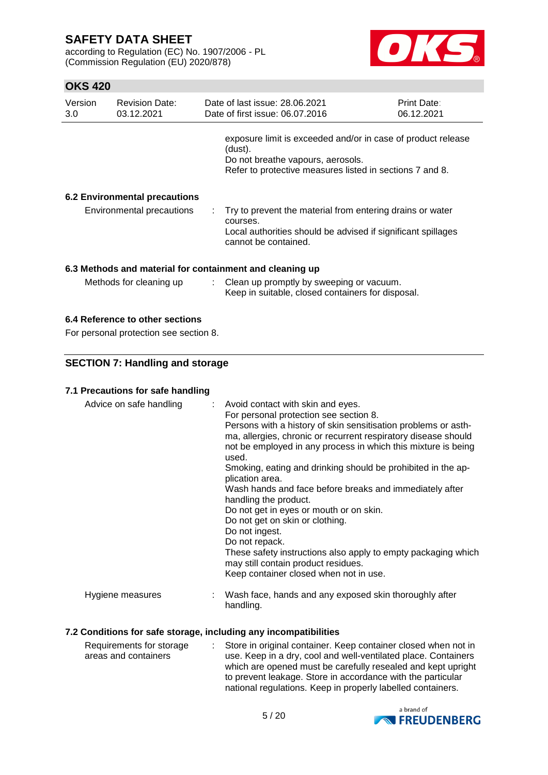according to Regulation (EC) No. 1907/2006 - PL (Commission Regulation (EU) 2020/878)



# **OKS 420**

| Version<br>3.0                                           | <b>Revision Date:</b><br>03.12.2021  |  | Date of last issue: 28.06.2021<br>Date of first issue: 06.07.2016                                                                                                        | <b>Print Date:</b><br>06.12.2021 |  |  |
|----------------------------------------------------------|--------------------------------------|--|--------------------------------------------------------------------------------------------------------------------------------------------------------------------------|----------------------------------|--|--|
|                                                          |                                      |  | exposure limit is exceeded and/or in case of product release<br>(dust).<br>Do not breathe vapours, aerosols.<br>Refer to protective measures listed in sections 7 and 8. |                                  |  |  |
|                                                          | <b>6.2 Environmental precautions</b> |  |                                                                                                                                                                          |                                  |  |  |
|                                                          | Environmental precautions            |  | Try to prevent the material from entering drains or water<br>courses.<br>Local authorities should be advised if significant spillages<br>cannot be contained.            |                                  |  |  |
| 6.3 Methods and material for containment and cleaning up |                                      |  |                                                                                                                                                                          |                                  |  |  |
|                                                          | Methods for cleaning up              |  | : Clean up promptly by sweeping or vacuum.<br>Keep in suitable, closed containers for disposal.                                                                          |                                  |  |  |

# **6.4 Reference to other sections**

For personal protection see section 8.

## **SECTION 7: Handling and storage**

# **7.1 Precautions for safe handling**

| Advice on safe handling | : Avoid contact with skin and eyes.<br>For personal protection see section 8.<br>Persons with a history of skin sensitisation problems or asth-<br>ma, allergies, chronic or recurrent respiratory disease should<br>not be employed in any process in which this mixture is being<br>used.<br>Smoking, eating and drinking should be prohibited in the ap-<br>plication area.<br>Wash hands and face before breaks and immediately after<br>handling the product.<br>Do not get in eyes or mouth or on skin.<br>Do not get on skin or clothing.<br>Do not ingest.<br>Do not repack.<br>These safety instructions also apply to empty packaging which<br>may still contain product residues.<br>Keep container closed when not in use. |
|-------------------------|----------------------------------------------------------------------------------------------------------------------------------------------------------------------------------------------------------------------------------------------------------------------------------------------------------------------------------------------------------------------------------------------------------------------------------------------------------------------------------------------------------------------------------------------------------------------------------------------------------------------------------------------------------------------------------------------------------------------------------------|
| Hygiene measures        | Wash face, hands and any exposed skin thoroughly after<br>handling.                                                                                                                                                                                                                                                                                                                                                                                                                                                                                                                                                                                                                                                                    |

## **7.2 Conditions for safe storage, including any incompatibilities**

| Requirements for storage | Store in original container. Keep container closed when not in |
|--------------------------|----------------------------------------------------------------|
| areas and containers     | use. Keep in a dry, cool and well-ventilated place. Containers |
|                          | which are opened must be carefully resealed and kept upright   |
|                          | to prevent leakage. Store in accordance with the particular    |
|                          | national regulations. Keep in properly labelled containers.    |

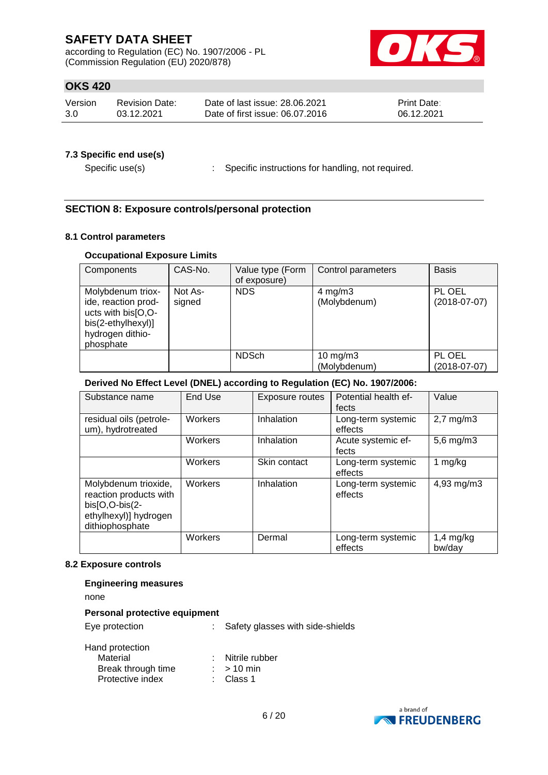according to Regulation (EC) No. 1907/2006 - PL (Commission Regulation (EU) 2020/878)



# **OKS 420**

| Version | <b>Revision Date:</b> | Date of last issue: 28.06.2021  | <b>Print Date:</b> |
|---------|-----------------------|---------------------------------|--------------------|
| 3.0     | 03.12.2021            | Date of first issue: 06.07.2016 | 06.12.2021         |

### **7.3 Specific end use(s)**

Specific use(s) : Specific instructions for handling, not required.

## **SECTION 8: Exposure controls/personal protection**

### **8.1 Control parameters**

### **Occupational Exposure Limits**

| Components                                                                                                            | CAS-No.           | Value type (Form<br>of exposure) | Control parameters                 | <b>Basis</b>             |
|-----------------------------------------------------------------------------------------------------------------------|-------------------|----------------------------------|------------------------------------|--------------------------|
| Molybdenum triox-<br>ide, reaction prod-<br>ucts with bis[O,O-<br>bis(2-ethylhexyl)]<br>hydrogen dithio-<br>phosphate | Not As-<br>signed | <b>NDS</b>                       | $4 \text{ mg/m}$ 3<br>(Molybdenum) | PL OEL<br>$(2018-07-07)$ |
|                                                                                                                       |                   | <b>NDSch</b>                     | $10$ mg/m $3$<br>(Molybdenum)      | PL OEL<br>$(2018-07-07)$ |

## **Derived No Effect Level (DNEL) according to Regulation (EC) No. 1907/2006:**

| Substance name                                                                                               | End Use | <b>Exposure routes</b> | Potential health ef-<br>fects | Value                 |
|--------------------------------------------------------------------------------------------------------------|---------|------------------------|-------------------------------|-----------------------|
| residual oils (petrole-<br>um), hydrotreated                                                                 | Workers | Inhalation             | Long-term systemic<br>effects | $2,7$ mg/m $3$        |
|                                                                                                              | Workers | Inhalation             | Acute systemic ef-<br>fects   | $5,6$ mg/m $3$        |
|                                                                                                              | Workers | Skin contact           | Long-term systemic<br>effects | mg/kg                 |
| Molybdenum trioxide,<br>reaction products with<br>bis[O,O-bis(2-<br>ethylhexyl)] hydrogen<br>dithiophosphate | Workers | Inhalation             | Long-term systemic<br>effects | 4,93 mg/m3            |
|                                                                                                              | Workers | Dermal                 | Long-term systemic<br>effects | $1,4$ mg/kg<br>bw/day |

#### **8.2 Exposure controls**

### **Engineering measures**

none

### **Personal protective equipment**

Eye protection : Safety glasses with side-shields

| .<br>Material      |              | Nitrile rubber |
|--------------------|--------------|----------------|
| Break through time | $:$ > 10 min |                |
| Protective index   | : Class 1    |                |

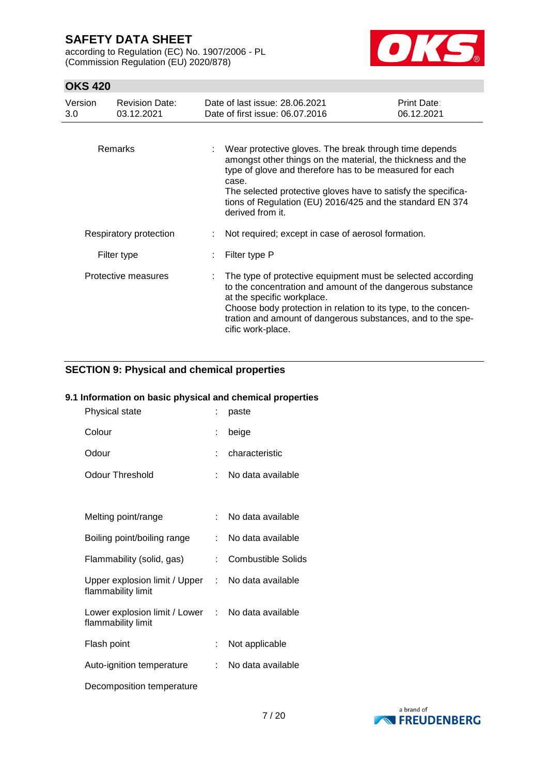according to Regulation (EC) No. 1907/2006 - PL (Commission Regulation (EU) 2020/878)



## **OKS 420**

| Version<br>3.0 | <b>Revision Date:</b><br>03.12.2021 | Date of last issue: 28.06.2021<br>Date of first issue: 06.07.2016                                                                                                                                                                                                                                                                           | Print Date:<br>06.12.2021 |
|----------------|-------------------------------------|---------------------------------------------------------------------------------------------------------------------------------------------------------------------------------------------------------------------------------------------------------------------------------------------------------------------------------------------|---------------------------|
|                | Remarks                             | Wear protective gloves. The break through time depends<br>amongst other things on the material, the thickness and the<br>type of glove and therefore has to be measured for each<br>case.<br>The selected protective gloves have to satisfy the specifica-<br>tions of Regulation (EU) 2016/425 and the standard EN 374<br>derived from it. |                           |
|                | Respiratory protection              | Not required; except in case of aerosol formation.                                                                                                                                                                                                                                                                                          |                           |
|                | Filter type                         | Filter type P                                                                                                                                                                                                                                                                                                                               |                           |
|                | Protective measures                 | The type of protective equipment must be selected according<br>to the concentration and amount of the dangerous substance<br>at the specific workplace.<br>Choose body protection in relation to its type, to the concen-<br>tration and amount of dangerous substances, and to the spe-<br>cific work-place.                               |                           |

## **SECTION 9: Physical and chemical properties**

## **9.1 Information on basic physical and chemical properties**

| Physical state                                      | t. | paste                     |
|-----------------------------------------------------|----|---------------------------|
| Colour                                              | ÷  | beige                     |
| Odour                                               |    | characteristic            |
| <b>Odour Threshold</b>                              | t. | No data available         |
|                                                     |    |                           |
| Melting point/range                                 | t. | No data available         |
| Boiling point/boiling range                         |    | No data available         |
| Flammability (solid, gas)                           | ÷  | <b>Combustible Solids</b> |
| Upper explosion limit / Upper<br>flammability limit |    | : No data available       |
| Lower explosion limit / Lower<br>flammability limit |    | : No data available       |
| Flash point                                         | ÷  | Not applicable            |
| Auto-ignition temperature                           | t. | No data available         |
| Decomposition temperature                           |    |                           |

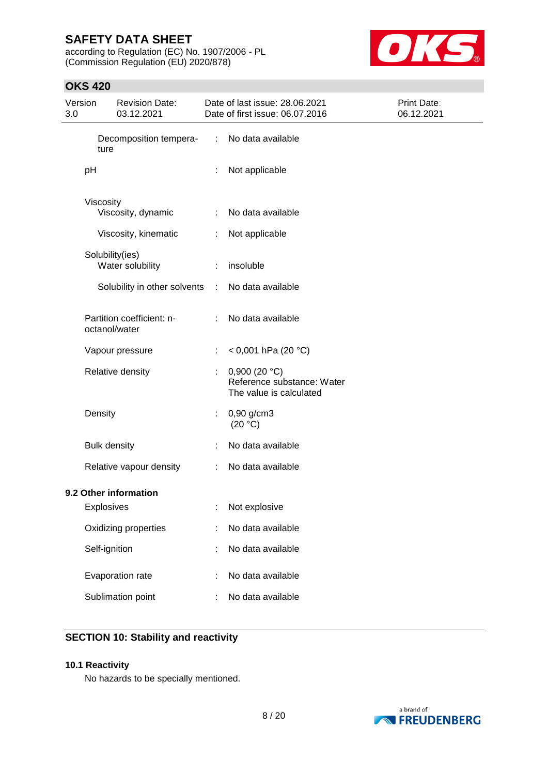according to Regulation (EC) No. 1907/2006 - PL (Commission Regulation (EU) 2020/878)



# **OKS 420**

| Version<br>3.0 | <b>Revision Date:</b><br>03.12.2021                     |                             | Date of last issue: 28.06.2021<br>Date of first issue: 06.07.2016         | Print Date:<br>06.12.2021 |
|----------------|---------------------------------------------------------|-----------------------------|---------------------------------------------------------------------------|---------------------------|
|                | Decomposition tempera-<br>ture                          | $\mathcal{I}^{\mathcal{I}}$ | No data available                                                         |                           |
|                | pH                                                      | ÷                           | Not applicable                                                            |                           |
|                | Viscosity<br>Viscosity, dynamic<br>Viscosity, kinematic | ÷<br>÷.                     | No data available<br>Not applicable                                       |                           |
|                | Solubility(ies)<br>Water solubility                     | ÷                           | insoluble                                                                 |                           |
|                | Solubility in other solvents                            | $\mathcal{L}$               | No data available                                                         |                           |
|                | Partition coefficient: n-<br>octanol/water              | ÷                           | No data available                                                         |                           |
|                | Vapour pressure                                         |                             | < 0,001 hPa (20 °C)                                                       |                           |
|                | Relative density                                        | ÷                           | 0,900 (20 $°C$ )<br>Reference substance: Water<br>The value is calculated |                           |
|                | Density                                                 | t.                          | $0,90$ g/cm3<br>(20 °C)                                                   |                           |
|                | <b>Bulk density</b>                                     |                             | No data available                                                         |                           |
|                | Relative vapour density                                 | ÷.                          | No data available                                                         |                           |
|                | 9.2 Other information<br><b>Explosives</b>              |                             | Not explosive                                                             |                           |
|                | Oxidizing properties                                    |                             | No data available                                                         |                           |
|                | Self-ignition                                           |                             | No data available                                                         |                           |
|                | Evaporation rate                                        |                             | No data available                                                         |                           |
|                | Sublimation point                                       |                             | No data available                                                         |                           |

# **SECTION 10: Stability and reactivity**

### **10.1 Reactivity**

No hazards to be specially mentioned.

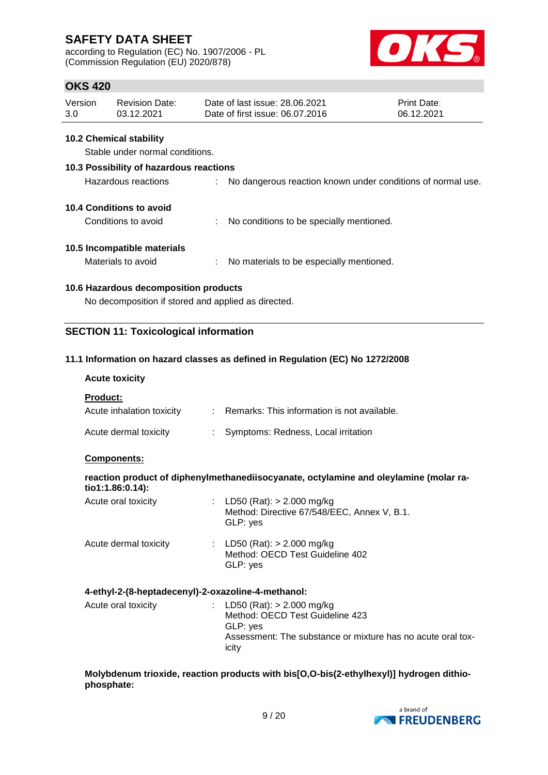according to Regulation (EC) No. 1907/2006 - PL (Commission Regulation (EU) 2020/878)



# **OKS 420**

| Version | Revision Date: | Date of last issue: 28.06.2021  | <b>Print Date:</b> |
|---------|----------------|---------------------------------|--------------------|
| 3.0     | 03.12.2021     | Date of first issue: 06.07.2016 | 06.12.2021         |

### **10.2 Chemical stability**

Stable under normal conditions.

### **10.3 Possibility of hazardous reactions**

| Hazardous reactions | No dangerous reaction known under conditions of normal use. |  |
|---------------------|-------------------------------------------------------------|--|
|                     |                                                             |  |

### **10.4 Conditions to avoid**

Conditions to avoid : No conditions to be specially mentioned.

## **10.5 Incompatible materials**

Materials to avoid : No materials to be especially mentioned.

## **10.6 Hazardous decomposition products**

No decomposition if stored and applied as directed.

## **SECTION 11: Toxicological information**

## **11.1 Information on hazard classes as defined in Regulation (EC) No 1272/2008**

### **Acute toxicity**

**Product:**

| Acute inhalation toxicity | : Remarks: This information is not available. |
|---------------------------|-----------------------------------------------|
| Acute dermal toxicity     | Symptoms: Redness, Local irritation           |

### **Components:**

| tio1:1.86:0.14):      |  | reaction product of diphenylmethanediisocyanate, octylamine and oleylamine (molar ra-    |  |  |  |
|-----------------------|--|------------------------------------------------------------------------------------------|--|--|--|
| Acute oral toxicity   |  | : LD50 (Rat): $> 2.000$ mg/kg<br>Method: Directive 67/548/EEC, Annex V, B.1.<br>GLP: yes |  |  |  |
| Acute dermal toxicity |  | : LD50 (Rat): $> 2.000$ mg/kg<br>Method: OECD Test Guideline 402<br>GLP: yes             |  |  |  |
|                       |  |                                                                                          |  |  |  |

## **4-ethyl-2-(8-heptadecenyl)-2-oxazoline-4-methanol:**

| Acute oral toxicity |  | : LD50 (Rat): $> 2.000$ mg/kg<br>Method: OECD Test Guideline 423<br>GLP: ves<br>Assessment: The substance or mixture has no acute oral tox-<br>icity |
|---------------------|--|------------------------------------------------------------------------------------------------------------------------------------------------------|
|---------------------|--|------------------------------------------------------------------------------------------------------------------------------------------------------|

### **Molybdenum trioxide, reaction products with bis[O,O-bis(2-ethylhexyl)] hydrogen dithiophosphate:**

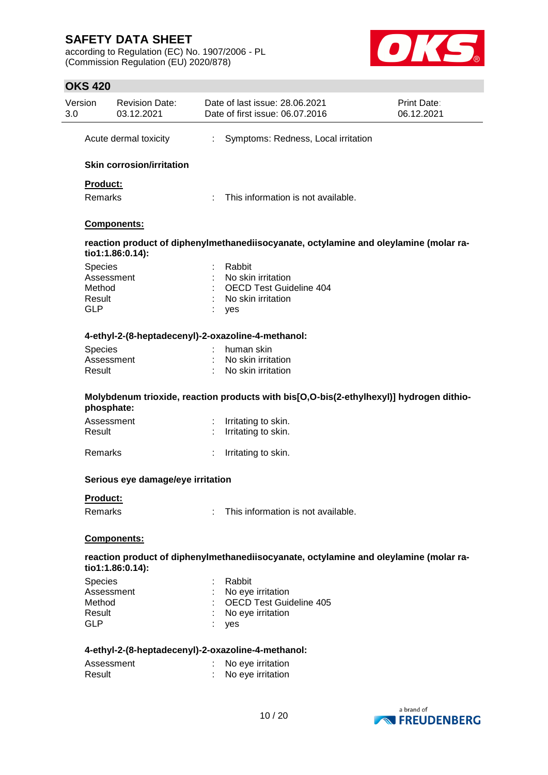according to Regulation (EC) No. 1907/2006 - PL (Commission Regulation (EU) 2020/878)



# **OKS 420**

| Version<br>3.0       | <b>Revision Date:</b><br>03.12.2021 |   | Date of last issue: 28.06.2021<br>Date of first issue: 06.07.2016                       | <b>Print Date:</b><br>06.12.2021 |
|----------------------|-------------------------------------|---|-----------------------------------------------------------------------------------------|----------------------------------|
|                      | Acute dermal toxicity               | ÷ | Symptoms: Redness, Local irritation                                                     |                                  |
|                      | <b>Skin corrosion/irritation</b>    |   |                                                                                         |                                  |
| Product:             |                                     |   |                                                                                         |                                  |
| Remarks              |                                     |   | This information is not available.                                                      |                                  |
|                      | <b>Components:</b>                  |   |                                                                                         |                                  |
|                      | tio1:1.86:0.14):                    |   | reaction product of diphenylmethanediisocyanate, octylamine and oleylamine (molar ra-   |                                  |
| Species              |                                     |   | Rabbit                                                                                  |                                  |
|                      | Assessment                          |   | No skin irritation                                                                      |                                  |
| Method               |                                     |   | OECD Test Guideline 404                                                                 |                                  |
| Result<br><b>GLP</b> |                                     |   | No skin irritation<br>yes                                                               |                                  |
|                      |                                     |   |                                                                                         |                                  |
|                      |                                     |   | 4-ethyl-2-(8-heptadecenyl)-2-oxazoline-4-methanol:                                      |                                  |
| Species              |                                     |   | human skin                                                                              |                                  |
|                      | Assessment                          |   | No skin irritation                                                                      |                                  |
| Result               |                                     |   | No skin irritation                                                                      |                                  |
|                      | phosphate:                          |   | Molybdenum trioxide, reaction products with bis[O,O-bis(2-ethylhexyl)] hydrogen dithio- |                                  |
|                      | Assessment                          | ÷ | Irritating to skin.                                                                     |                                  |
| Result               |                                     |   | Irritating to skin.                                                                     |                                  |
| <b>Remarks</b>       |                                     |   | Irritating to skin.                                                                     |                                  |
|                      | Serious eye damage/eye irritation   |   |                                                                                         |                                  |
| Product:             |                                     |   |                                                                                         |                                  |
| Remarks              |                                     |   | This information is not available.                                                      |                                  |
|                      | Components:                         |   |                                                                                         |                                  |
|                      | tio1:1.86:0.14):                    |   | reaction product of diphenylmethanediisocyanate, octylamine and oleylamine (molar ra-   |                                  |
| Species              |                                     |   | Rabbit                                                                                  |                                  |
|                      | Assessment                          |   | No eye irritation                                                                       |                                  |
| Method               |                                     |   | <b>OECD Test Guideline 405</b>                                                          |                                  |
| Result               |                                     |   | No eye irritation                                                                       |                                  |
| <b>GLP</b>           |                                     |   | yes                                                                                     |                                  |
|                      |                                     |   | 4-ethyl-2-(8-heptadecenyl)-2-oxazoline-4-methanol:                                      |                                  |
|                      | Assessment                          |   | No eye irritation                                                                       |                                  |
| Result               |                                     |   | No eye irritation                                                                       |                                  |
|                      |                                     |   |                                                                                         |                                  |

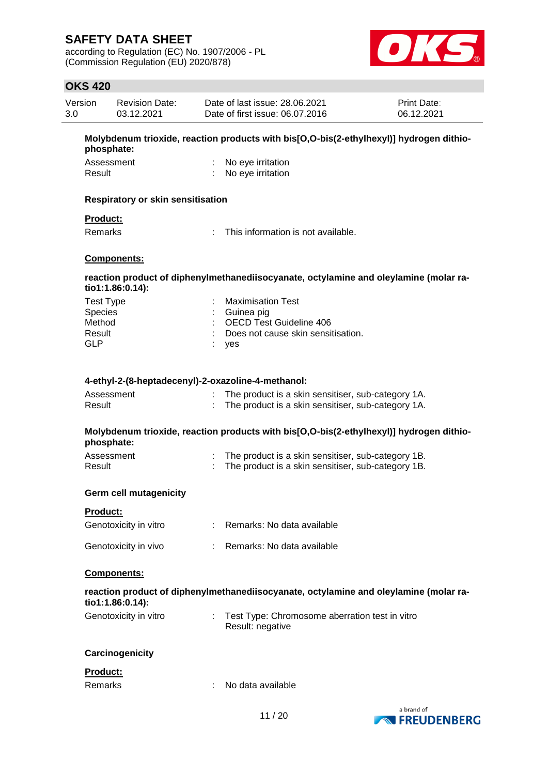according to Regulation (EC) No. 1907/2006 - PL (Commission Regulation (EU) 2020/878)



## **OKS 420**

| Version | <b>Revision Date:</b> | Date of last issue: 28.06.2021  | <b>Print Date:</b> |
|---------|-----------------------|---------------------------------|--------------------|
| 3.0     | 03.12.2021            | Date of first issue: 06.07.2016 | 06.12.2021         |

**Molybdenum trioxide, reaction products with bis[O,O-bis(2-ethylhexyl)] hydrogen dithiophosphate:**

| Assessment | No eye irritation   |
|------------|---------------------|
| Result     | : No eye irritation |

#### **Respiratory or skin sensitisation**

### **Product:**

Remarks : This information is not available.

#### **Components:**

### **reaction product of diphenylmethanediisocyanate, octylamine and oleylamine (molar ratio1:1.86:0.14):**

| Test Type | : Maximisation Test                  |
|-----------|--------------------------------------|
| Species   | : Guinea pig                         |
| Method    | : OECD Test Guideline 406            |
| Result    | : Does not cause skin sensitisation. |
| GLP       | : yes                                |

### **4-ethyl-2-(8-heptadecenyl)-2-oxazoline-4-methanol:**

| Assessment | The product is a skin sensitiser, sub-category 1A. |
|------------|----------------------------------------------------|
| Result     | The product is a skin sensitiser, sub-category 1A. |

### **Molybdenum trioxide, reaction products with bis[O,O-bis(2-ethylhexyl)] hydrogen dithiophosphate:**

| Assessment | The product is a skin sensitiser, sub-category 1B. |
|------------|----------------------------------------------------|
| Result     | The product is a skin sensitiser, sub-category 1B. |

#### **Germ cell mutagenicity**

| Genotoxicity in vitro | Remarks: No data available |
|-----------------------|----------------------------|
| Genotoxicity in vivo  | Remarks: No data available |

#### **Components:**

|                       |  | reaction product of diphenylmethanediisocyanate, octylamine and oleylamine (molar ra- |
|-----------------------|--|---------------------------------------------------------------------------------------|
| $tio1:1.86:0.14$ :    |  |                                                                                       |
| Genotoxicity in vitro |  | Test Type: Chromosome aberration test in vitro                                        |

Result: negative

### **Carcinogenicity**

### **Product:**

Remarks : No data available

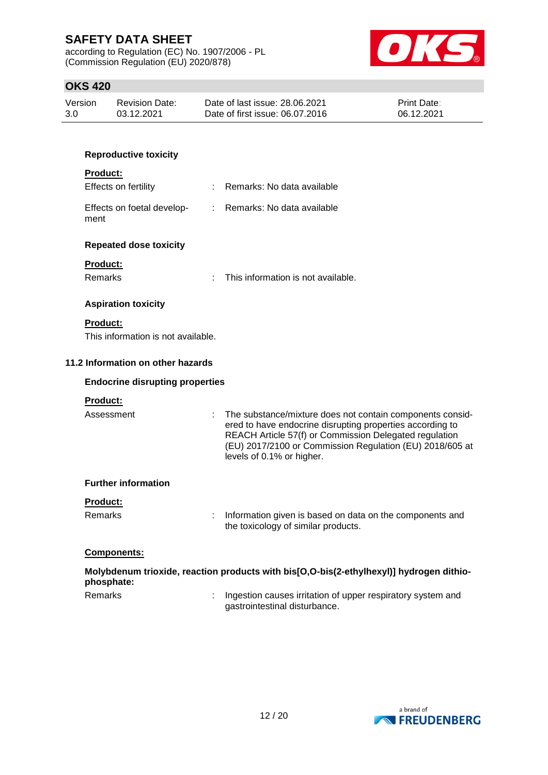according to Regulation (EC) No. 1907/2006 - PL (Commission Regulation (EU) 2020/878)



## **OKS 420**

| Version | Revision Date: | Date of last issue: 28.06.2021  | <b>Print Date:</b> |
|---------|----------------|---------------------------------|--------------------|
| 3.0     | 03.12.2021     | Date of first issue: 06.07.2016 | 06.12.2021         |

### **Reproductive toxicity**

#### **Product:**

| Effects on fertility               | : Remarks: No data available |
|------------------------------------|------------------------------|
| Effects on foetal develop-<br>ment | : Remarks: No data available |

### **Repeated dose toxicity**

### **Product:**

Remarks : This information is not available.

### **Aspiration toxicity**

## **Product:**

This information is not available.

### **11.2 Information on other hazards**

### **Endocrine disrupting properties**

### **Product:**

Assessment : The substance/mixture does not contain components considered to have endocrine disrupting properties according to REACH Article 57(f) or Commission Delegated regulation (EU) 2017/2100 or Commission Regulation (EU) 2018/605 at levels of 0.1% or higher.

#### **Further information**

### **Product:**

Remarks : Information given is based on data on the components and the toxicology of similar products.

### **Components:**

|            | Molybdenum trioxide, reaction products with bis[O,O-bis(2-ethylhexyl)] hydrogen dithio-                       |
|------------|---------------------------------------------------------------------------------------------------------------|
| phosphate: |                                                                                                               |
| <b>D</b> 1 | e de la caractería de la caractería de la caractería de la caractería de la caractería de la caractería de la |

Remarks : Ingestion causes irritation of upper respiratory system and gastrointestinal disturbance.

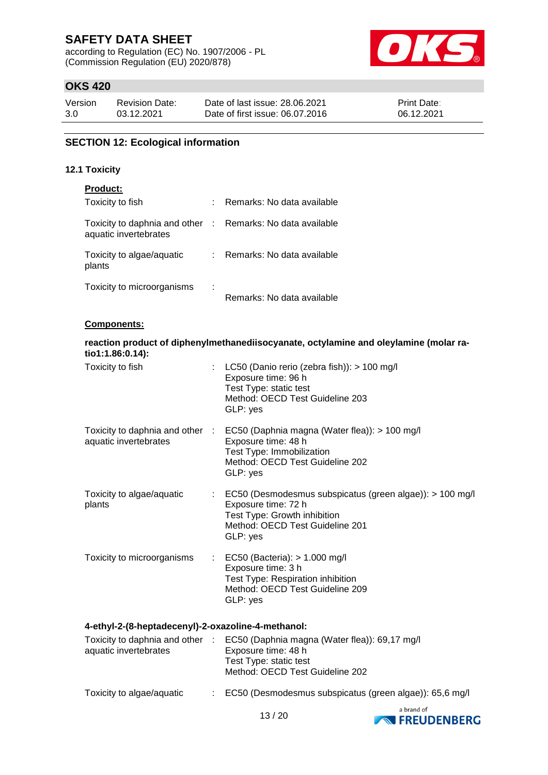according to Regulation (EC) No. 1907/2006 - PL (Commission Regulation (EU) 2020/878)



# **OKS 420**

| Version | <b>Revision Date:</b> | Date of last issue: 28.06.2021  | <b>Print Date:</b> |
|---------|-----------------------|---------------------------------|--------------------|
| 3.0     | 03.12.2021            | Date of first issue: 06.07.2016 | 06.12.2021         |

# **SECTION 12: Ecological information**

### **12.1 Toxicity**

| <b>Product:</b>                                                                     |   |                            |
|-------------------------------------------------------------------------------------|---|----------------------------|
| Toxicity to fish                                                                    |   | Remarks: No data available |
| Toxicity to daphnia and other : Remarks: No data available<br>aquatic invertebrates |   |                            |
| Toxicity to algae/aquatic<br>plants                                                 |   | Remarks: No data available |
| Toxicity to microorganisms                                                          | ÷ | Remarks: No data available |

### **Components:**

| tio1:1.86:0.14):                    |                                                    | reaction product of diphenylmethanediisocyanate, octylamine and oleylamine (molar ra-                                                                                            |  |  |  |  |
|-------------------------------------|----------------------------------------------------|----------------------------------------------------------------------------------------------------------------------------------------------------------------------------------|--|--|--|--|
| Toxicity to fish                    |                                                    | : LC50 (Danio rerio (zebra fish)): $> 100$ mg/l<br>Exposure time: 96 h<br>Test Type: static test<br>Method: OECD Test Guideline 203<br>GLP: yes                                  |  |  |  |  |
| aquatic invertebrates               |                                                    | Toxicity to daphnia and other : EC50 (Daphnia magna (Water flea)): > 100 mg/l<br>Exposure time: 48 h<br>Test Type: Immobilization<br>Method: OECD Test Guideline 202<br>GLP: yes |  |  |  |  |
| Toxicity to algae/aquatic<br>plants |                                                    | : EC50 (Desmodesmus subspicatus (green algae)): > 100 mg/l<br>Exposure time: 72 h<br>Test Type: Growth inhibition<br>Method: OECD Test Guideline 201<br>GLP: yes                 |  |  |  |  |
| Toxicity to microorganisms          |                                                    | : EC50 (Bacteria): > 1.000 mg/l<br>Exposure time: 3 h<br>Test Type: Respiration inhibition<br>Method: OECD Test Guideline 209<br>GLP: yes                                        |  |  |  |  |
|                                     | 4-ethyl-2-(8-heptadecenyl)-2-oxazoline-4-methanol: |                                                                                                                                                                                  |  |  |  |  |
|                                     |                                                    | Toxicity to daphnia and other : EC50 (Daphnia magna (Water flea)): 69,17 mg/l                                                                                                    |  |  |  |  |

| I OXICIty to daphnia and other :<br>aquatic invertebrates | EC50 (Daphnia magha (Water fiea)): 69,17 mg/l<br>Exposure time: 48 h<br>Test Type: static test<br>Method: OECD Test Guideline 202 |
|-----------------------------------------------------------|-----------------------------------------------------------------------------------------------------------------------------------|
| Toxicity to algae/aquatic                                 | : EC50 (Desmodesmus subspicatus (green algae)): 65,6 mg/l                                                                         |
|                                                           | a hrand of                                                                                                                        |

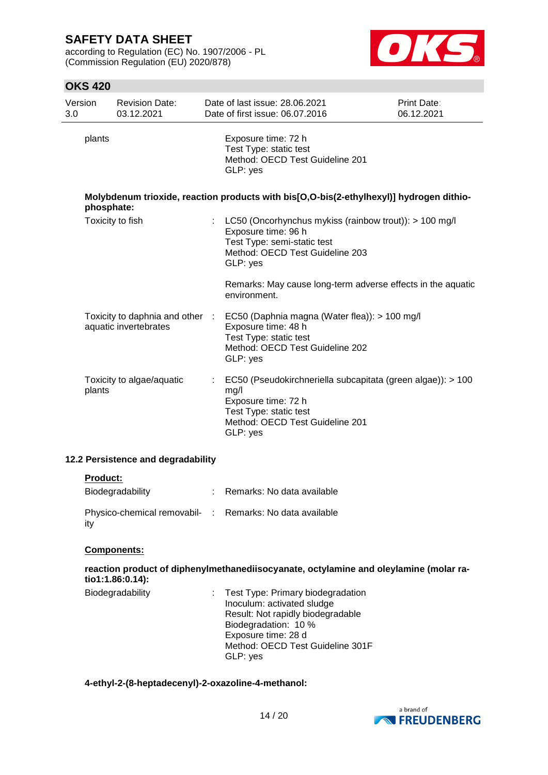according to Regulation (EC) No. 1907/2006 - PL (Commission Regulation (EU) 2020/878)



## **OKS 420**

| Version<br>3.0 | <b>Revision Date:</b><br>03.12.2021                      |    | Date of last issue: 28.06.2021<br>Date of first issue: 06.07.2016                                                                                                   | <b>Print Date:</b><br>06.12.2021 |
|----------------|----------------------------------------------------------|----|---------------------------------------------------------------------------------------------------------------------------------------------------------------------|----------------------------------|
| plants         |                                                          |    | Exposure time: 72 h<br>Test Type: static test<br>Method: OECD Test Guideline 201<br>GLP: yes                                                                        |                                  |
| phosphate:     |                                                          |    | Molybdenum trioxide, reaction products with bis[O,O-bis(2-ethylhexyl)] hydrogen dithio-                                                                             |                                  |
|                | Toxicity to fish                                         | ÷. | LC50 (Oncorhynchus mykiss (rainbow trout)): $> 100$ mg/l<br>Exposure time: 96 h<br>Test Type: semi-static test<br>Method: OECD Test Guideline 203<br>GLP: yes       |                                  |
|                |                                                          |    | Remarks: May cause long-term adverse effects in the aquatic<br>environment.                                                                                         |                                  |
|                | Toxicity to daphnia and other :<br>aquatic invertebrates |    | EC50 (Daphnia magna (Water flea)): > 100 mg/l<br>Exposure time: 48 h<br>Test Type: static test<br>Method: OECD Test Guideline 202<br>GLP: yes                       |                                  |
| plants         | Toxicity to algae/aquatic                                | ÷. | EC50 (Pseudokirchneriella subcapitata (green algae)): > 100<br>mg/l<br>Exposure time: 72 h<br>Test Type: static test<br>Method: OECD Test Guideline 201<br>GLP: yes |                                  |

## **12.2 Persistence and degradability**

#### **Product:**

| Biodegradability                                                | Remarks: No data available |
|-----------------------------------------------------------------|----------------------------|
| Physico-chemical removabil- : Remarks: No data available<br>ity |                            |

#### **Components:**

**reaction product of diphenylmethanediisocyanate, octylamine and oleylamine (molar ratio1:1.86:0.14):**

Biodegradability : Test Type: Primary biodegradation Inoculum: activated sludge Result: Not rapidly biodegradable Biodegradation: 10 % Exposure time: 28 d Method: OECD Test Guideline 301F GLP: yes

## **4-ethyl-2-(8-heptadecenyl)-2-oxazoline-4-methanol:**

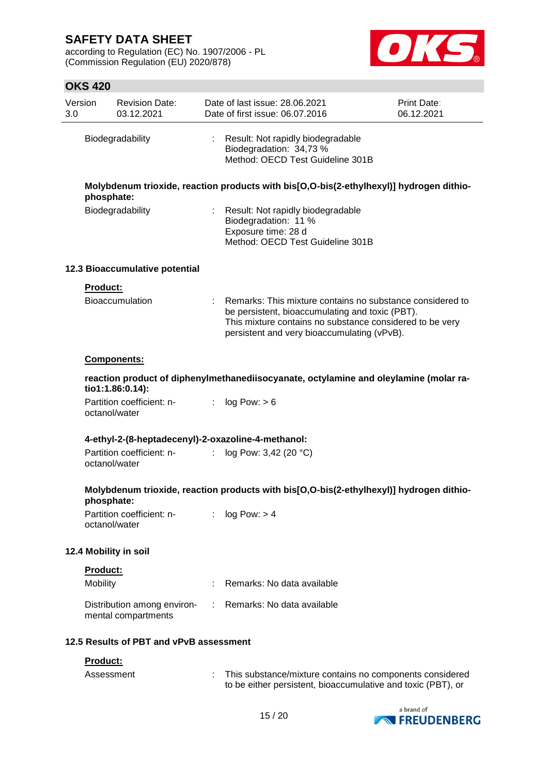according to Regulation (EC) No. 1907/2006 - PL (Commission Regulation (EU) 2020/878)



# **OKS 420**

| Version<br>3.0 |                        | <b>Revision Date:</b><br>03.12.2021                |    | Date of last issue: 28.06.2021<br>Date of first issue: 06.07.2016                                                                                                                                                       | Print Date:<br>06.12.2021 |
|----------------|------------------------|----------------------------------------------------|----|-------------------------------------------------------------------------------------------------------------------------------------------------------------------------------------------------------------------------|---------------------------|
|                |                        | Biodegradability                                   |    | Result: Not rapidly biodegradable<br>Biodegradation: 34,73 %<br>Method: OECD Test Guideline 301B                                                                                                                        |                           |
|                | phosphate:             |                                                    |    | Molybdenum trioxide, reaction products with bis[O,O-bis(2-ethylhexyl)] hydrogen dithio-                                                                                                                                 |                           |
|                |                        | Biodegradability                                   |    | Result: Not rapidly biodegradable<br>Biodegradation: 11 %<br>Exposure time: 28 d<br>Method: OECD Test Guideline 301B                                                                                                    |                           |
|                |                        | 12.3 Bioaccumulative potential                     |    |                                                                                                                                                                                                                         |                           |
|                | Product:               | Bioaccumulation                                    |    | Remarks: This mixture contains no substance considered to<br>be persistent, bioaccumulating and toxic (PBT).<br>This mixture contains no substance considered to be very<br>persistent and very bioaccumulating (vPvB). |                           |
|                |                        | Components:                                        |    |                                                                                                                                                                                                                         |                           |
|                |                        | tio1:1.86:0.14):                                   |    | reaction product of diphenylmethanediisocyanate, octylamine and oleylamine (molar ra-                                                                                                                                   |                           |
|                |                        | Partition coefficient: n-<br>octanol/water         | t. | log Pow: > 6                                                                                                                                                                                                            |                           |
|                |                        |                                                    |    | 4-ethyl-2-(8-heptadecenyl)-2-oxazoline-4-methanol:                                                                                                                                                                      |                           |
|                |                        | Partition coefficient: n-<br>octanol/water         | ÷  | log Pow: 3,42 (20 °C)                                                                                                                                                                                                   |                           |
|                | phosphate:             |                                                    |    | Molybdenum trioxide, reaction products with bis[O,O-bis(2-ethylhexyl)] hydrogen dithio-                                                                                                                                 |                           |
|                |                        | Partition coefficient: n-<br>octanol/water         |    | log Pow: > 4                                                                                                                                                                                                            |                           |
|                |                        | 12.4 Mobility in soil                              |    |                                                                                                                                                                                                                         |                           |
|                | Product:               |                                                    |    |                                                                                                                                                                                                                         |                           |
|                | Mobility               |                                                    |    | Remarks: No data available                                                                                                                                                                                              |                           |
|                |                        | Distribution among environ-<br>mental compartments |    | Remarks: No data available                                                                                                                                                                                              |                           |
|                |                        | 12.5 Results of PBT and vPvB assessment            |    |                                                                                                                                                                                                                         |                           |
|                | Product:<br>Assessment |                                                    |    | This substance/mixture contains no components considered<br>to be either persistent, bioaccumulative and toxic (PBT), or                                                                                                |                           |

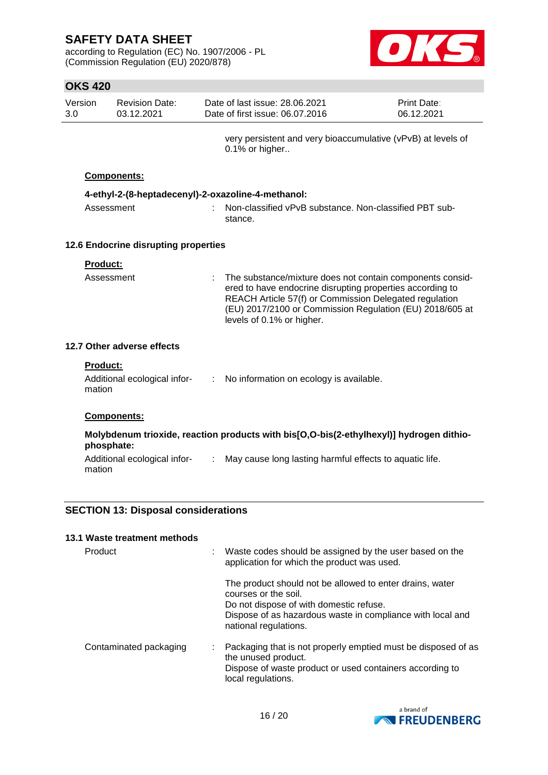according to Regulation (EC) No. 1907/2006 - PL (Commission Regulation (EU) 2020/878)



## **OKS 420**

| Version | Revision Date: | Date of last issue: 28.06.2021  | <b>Print Date:</b> |
|---------|----------------|---------------------------------|--------------------|
| 3.0     | 03.12.2021     | Date of first issue: 06.07.2016 | 06.12.2021         |

very persistent and very bioaccumulative (vPvB) at levels of 0.1% or higher..

### **Components:**

| 4-ethyl-2-(8-heptadecenyl)-2-oxazoline-4-methanol: |  |                                                                     |  |  |
|----------------------------------------------------|--|---------------------------------------------------------------------|--|--|
| Assessment                                         |  | : Non-classified vPvB substance. Non-classified PBT sub-<br>stance. |  |  |

## **12.6 Endocrine disrupting properties**

| ered to have endocrine disrupting properties according to<br>REACH Article 57(f) or Commission Delegated regulation<br>(EU) 2017/2100 or Commission Regulation (EU) 2018/605 at<br>levels of 0.1% or higher. | Assessment |  | : The substance/mixture does not contain components consid- |  |
|--------------------------------------------------------------------------------------------------------------------------------------------------------------------------------------------------------------|------------|--|-------------------------------------------------------------|--|
|--------------------------------------------------------------------------------------------------------------------------------------------------------------------------------------------------------------|------------|--|-------------------------------------------------------------|--|

## **12.7 Other adverse effects**

| <b>Product:</b> |  |  |  |  |
|-----------------|--|--|--|--|
|                 |  |  |  |  |

| Additional ecological infor- | : No information on ecology is available. |
|------------------------------|-------------------------------------------|
| mation                       |                                           |
|                              |                                           |

## **Components:**

mation

### **Molybdenum trioxide, reaction products with bis[O,O-bis(2-ethylhexyl)] hydrogen dithiophosphate:** Additional ecological infor- : May cause long lasting harmful effects to aquatic life.

# **SECTION 13: Disposal considerations**

#### **13.1 Waste treatment methods**

| Product                | : Waste codes should be assigned by the user based on the<br>application for which the product was used.                                                                                                           |
|------------------------|--------------------------------------------------------------------------------------------------------------------------------------------------------------------------------------------------------------------|
|                        | The product should not be allowed to enter drains, water<br>courses or the soil.<br>Do not dispose of with domestic refuse.<br>Dispose of as hazardous waste in compliance with local and<br>national regulations. |
| Contaminated packaging | : Packaging that is not properly emptied must be disposed of as<br>the unused product.<br>Dispose of waste product or used containers according to<br>local regulations.                                           |

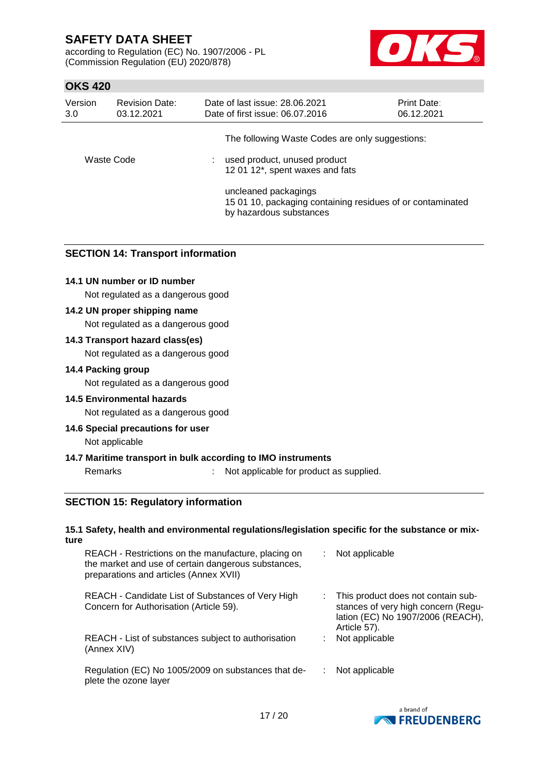according to Regulation (EC) No. 1907/2006 - PL (Commission Regulation (EU) 2020/878)



# **OKS 420**

| Version<br>3.0 | <b>Revision Date:</b><br>03.12.2021 | Date of last issue: 28.06.2021<br>Date of first issue: 06.07.2016                                             | Print Date:<br>06.12.2021 |
|----------------|-------------------------------------|---------------------------------------------------------------------------------------------------------------|---------------------------|
|                |                                     | The following Waste Codes are only suggestions:                                                               |                           |
| Waste Code     |                                     | used product, unused product<br>12 01 12*, spent waxes and fats                                               |                           |
|                |                                     | uncleaned packagings<br>15 01 10, packaging containing residues of or contaminated<br>by hazardous substances |                           |

## **SECTION 14: Transport information**

### **14.1 UN number or ID number**

Not regulated as a dangerous good

### **14.2 UN proper shipping name**

Not regulated as a dangerous good

### **14.3 Transport hazard class(es)**

Not regulated as a dangerous good

### **14.4 Packing group**

Not regulated as a dangerous good

### **14.5 Environmental hazards**

Not regulated as a dangerous good

### **14.6 Special precautions for user**

Not applicable

### **14.7 Maritime transport in bulk according to IMO instruments**

Remarks : Not applicable for product as supplied.

## **SECTION 15: Regulatory information**

#### **15.1 Safety, health and environmental regulations/legislation specific for the substance or mixture**

| REACH - Restrictions on the manufacture, placing on<br>the market and use of certain dangerous substances,<br>preparations and articles (Annex XVII) | Not applicable                                                                                                                 |
|------------------------------------------------------------------------------------------------------------------------------------------------------|--------------------------------------------------------------------------------------------------------------------------------|
| REACH - Candidate List of Substances of Very High<br>Concern for Authorisation (Article 59).                                                         | This product does not contain sub-<br>stances of very high concern (Regu-<br>lation (EC) No 1907/2006 (REACH),<br>Article 57). |
| REACH - List of substances subject to authorisation<br>(Annex XIV)                                                                                   | Not applicable                                                                                                                 |
| Regulation (EC) No 1005/2009 on substances that de-<br>plete the ozone layer                                                                         | Not applicable                                                                                                                 |

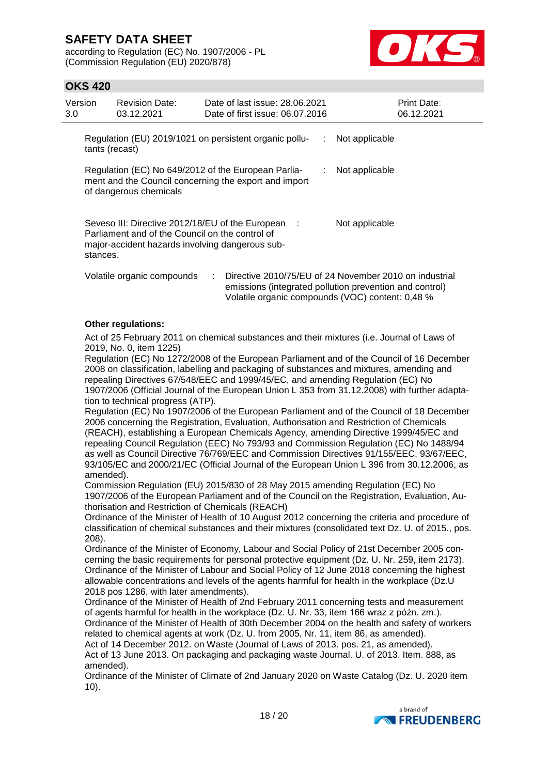according to Regulation (EC) No. 1907/2006 - PL (Commission Regulation (EU) 2020/878)



## **OKS 420**

| Version<br>3.0 |                | <b>Revision Date:</b><br>03.12.2021                                                                                                                      |   | Date of last issue: 28.06.2021<br>Date of first issue: 06.07.2016 | Print Date:<br>06.12.2021                                                                                                                                                                                                                                                                                                                                                 |
|----------------|----------------|----------------------------------------------------------------------------------------------------------------------------------------------------------|---|-------------------------------------------------------------------|---------------------------------------------------------------------------------------------------------------------------------------------------------------------------------------------------------------------------------------------------------------------------------------------------------------------------------------------------------------------------|
|                | tants (recast) |                                                                                                                                                          |   | Regulation (EU) 2019/1021 on persistent organic pollu-            | Not applicable                                                                                                                                                                                                                                                                                                                                                            |
|                |                | Regulation (EC) No 649/2012 of the European Parlia-<br>of dangerous chemicals                                                                            |   | ment and the Council concerning the export and import             | Not applicable                                                                                                                                                                                                                                                                                                                                                            |
|                | stances.       | Seveso III: Directive 2012/18/EU of the European :<br>Parliament and of the Council on the control of<br>major-accident hazards involving dangerous sub- |   |                                                                   | Not applicable                                                                                                                                                                                                                                                                                                                                                            |
|                |                | Volatile organic compounds                                                                                                                               | ÷ |                                                                   | Directive 2010/75/EU of 24 November 2010 on industrial<br>emissions (integrated pollution prevention and control)<br>Volatile organic compounds (VOC) content: 0,48 %                                                                                                                                                                                                     |
|                |                | <b>Other regulations:</b>                                                                                                                                |   |                                                                   |                                                                                                                                                                                                                                                                                                                                                                           |
|                |                | 2019, No. 0, item 1225)                                                                                                                                  |   |                                                                   | Act of 25 February 2011 on chemical substances and their mixtures (i.e. Journal of Laws of                                                                                                                                                                                                                                                                                |
|                |                | tion to technical progress (ATP).                                                                                                                        |   |                                                                   | Regulation (EC) No 1272/2008 of the European Parliament and of the Council of 16 December<br>2008 on classification, labelling and packaging of substances and mixtures, amending and<br>repealing Directives 67/548/EEC and 1999/45/EC, and amending Regulation (EC) No<br>1907/2006 (Official Journal of the European Union L 353 from 31.12.2008) with further adapta- |

Regulation (EC) No 1907/2006 of the European Parliament and of the Council of 18 December 2006 concerning the Registration, Evaluation, Authorisation and Restriction of Chemicals (REACH), establishing a European Chemicals Agency, amending Directive 1999/45/EC and repealing Council Regulation (EEC) No 793/93 and Commission Regulation (EC) No 1488/94 as well as Council Directive 76/769/EEC and Commission Directives 91/155/EEC, 93/67/EEC, 93/105/EC and 2000/21/EC (Official Journal of the European Union L 396 from 30.12.2006, as amended).

Commission Regulation (EU) 2015/830 of 28 May 2015 amending Regulation (EC) No 1907/2006 of the European Parliament and of the Council on the Registration, Evaluation, Authorisation and Restriction of Chemicals (REACH)

Ordinance of the Minister of Health of 10 August 2012 concerning the criteria and procedure of classification of chemical substances and their mixtures (consolidated text Dz. U. of 2015., pos. 208).

Ordinance of the Minister of Economy, Labour and Social Policy of 21st December 2005 concerning the basic requirements for personal protective equipment (Dz. U. Nr. 259, item 2173). Ordinance of the Minister of Labour and Social Policy of 12 June 2018 concerning the highest allowable concentrations and levels of the agents harmful for health in the workplace (Dz.U 2018 pos 1286, with later amendments).

Ordinance of the Minister of Health of 2nd February 2011 concerning tests and measurement of agents harmful for health in the workplace (Dz. U. Nr. 33, item 166 wraz z późn. zm.). Ordinance of the Minister of Health of 30th December 2004 on the health and safety of workers related to chemical agents at work (Dz. U. from 2005, Nr. 11, item 86, as amended).

Act of 14 December 2012. on Waste (Journal of Laws of 2013. pos. 21, as amended). Act of 13 June 2013. On packaging and packaging waste Journal. U. of 2013. Item. 888, as amended).

Ordinance of the Minister of Climate of 2nd January 2020 on Waste Catalog (Dz. U. 2020 item 10).

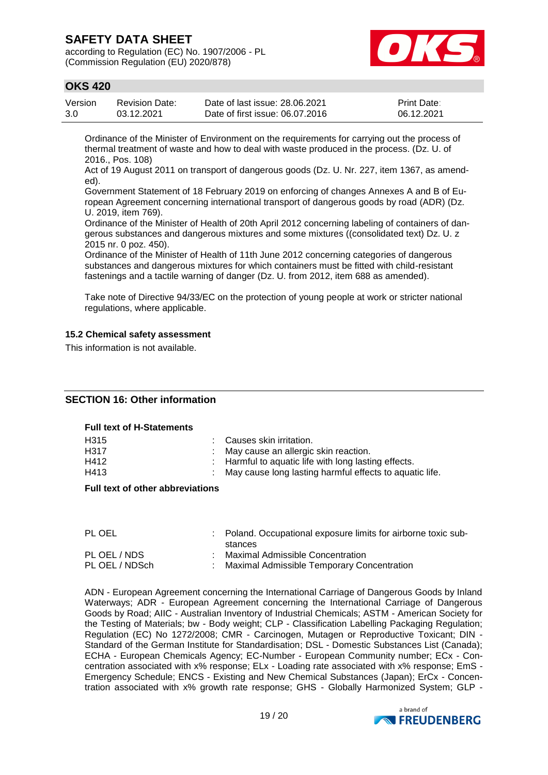according to Regulation (EC) No. 1907/2006 - PL (Commission Regulation (EU) 2020/878)



## **OKS 420**

| Version | Revision Date: | Date of last issue: 28.06.2021  | <b>Print Date:</b> |
|---------|----------------|---------------------------------|--------------------|
| 3.0     | 03.12.2021     | Date of first issue: 06.07.2016 | 06.12.2021         |

Ordinance of the Minister of Environment on the requirements for carrying out the process of thermal treatment of waste and how to deal with waste produced in the process. (Dz. U. of 2016., Pos. 108)

Act of 19 August 2011 on transport of dangerous goods (Dz. U. Nr. 227, item 1367, as amended).

Government Statement of 18 February 2019 on enforcing of changes Annexes A and B of European Agreement concerning international transport of dangerous goods by road (ADR) (Dz. U. 2019, item 769).

Ordinance of the Minister of Health of 20th April 2012 concerning labeling of containers of dangerous substances and dangerous mixtures and some mixtures ((consolidated text) Dz. U. z 2015 nr. 0 poz. 450).

Ordinance of the Minister of Health of 11th June 2012 concerning categories of dangerous substances and dangerous mixtures for which containers must be fitted with child-resistant fastenings and a tactile warning of danger (Dz. U. from 2012, item 688 as amended).

Take note of Directive 94/33/EC on the protection of young people at work or stricter national regulations, where applicable.

### **15.2 Chemical safety assessment**

This information is not available.

### **SECTION 16: Other information**

#### **Full text of H-Statements**

| : Causes skin irritation.                                 |
|-----------------------------------------------------------|
| : May cause an allergic skin reaction.                    |
| : Harmful to aquatic life with long lasting effects.      |
| : May cause long lasting harmful effects to aquatic life. |
|                                                           |

#### **Full text of other abbreviations**

| PL OEL         | Poland. Occupational exposure limits for airborne toxic sub-<br>stances |
|----------------|-------------------------------------------------------------------------|
| PL OEL / NDS   | Maximal Admissible Concentration                                        |
| PL OEL / NDSch | Maximal Admissible Temporary Concentration                              |

ADN - European Agreement concerning the International Carriage of Dangerous Goods by Inland Waterways; ADR - European Agreement concerning the International Carriage of Dangerous Goods by Road; AIIC - Australian Inventory of Industrial Chemicals; ASTM - American Society for the Testing of Materials; bw - Body weight; CLP - Classification Labelling Packaging Regulation; Regulation (EC) No 1272/2008; CMR - Carcinogen, Mutagen or Reproductive Toxicant; DIN - Standard of the German Institute for Standardisation; DSL - Domestic Substances List (Canada); ECHA - European Chemicals Agency; EC-Number - European Community number; ECx - Concentration associated with x% response; ELx - Loading rate associated with x% response; EmS - Emergency Schedule; ENCS - Existing and New Chemical Substances (Japan); ErCx - Concentration associated with x% growth rate response; GHS - Globally Harmonized System; GLP -